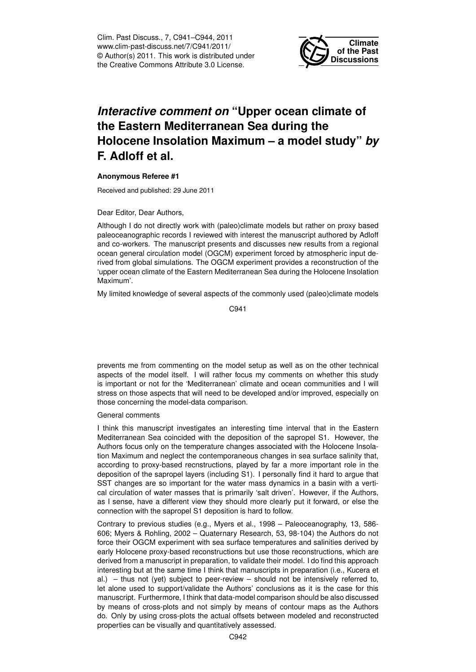Clim. Past Discuss., 7, C941–C944, 2011 www.clim-past-discuss.net/7/C941/2011/ © Author(s) 2011. This work is distributed under the Creative Commons Attribute 3.0 License.



## *Interactive comment on* **"Upper ocean climate of the Eastern Mediterranean Sea during the Holocene Insolation Maximum – a model study"** *by* **F. Adloff et al.**

## **Anonymous Referee #1**

Received and published: 29 June 2011

## Dear Editor, Dear Authors,

Although I do not directly work with (paleo)climate models but rather on proxy based paleoceanographic records I reviewed with interest the manuscript authored by Adloff and co-workers. The manuscript presents and discusses new results from a regional ocean general circulation model (OGCM) experiment forced by atmospheric input derived from global simulations. The OGCM experiment provides a reconstruction of the 'upper ocean climate of the Eastern Mediterranean Sea during the Holocene Insolation Maximum'.

My limited knowledge of several aspects of the commonly used (paleo)climate models

C941

prevents me from commenting on the model setup as well as on the other technical aspects of the model itself. I will rather focus my comments on whether this study is important or not for the 'Mediterranean' climate and ocean communities and I will stress on those aspects that will need to be developed and/or improved, especially on those concerning the model-data comparison.

## General comments

I think this manuscript investigates an interesting time interval that in the Eastern Mediterranean Sea coincided with the deposition of the sapropel S1. However, the Authors focus only on the temperature changes associated with the Holocene Insolation Maximum and neglect the contemporaneous changes in sea surface salinity that, according to proxy-based recnstructions, played by far a more important role in the deposition of the sapropel layers (including S1). I personally find it hard to argue that SST changes are so important for the water mass dynamics in a basin with a vertical circulation of water masses that is primarily 'salt driven'. However, if the Authors, as I sense, have a different view they should more clearly put it forward, or else the connection with the sapropel S1 deposition is hard to follow.

Contrary to previous studies (e.g., Myers et al., 1998 – Paleoceanography, 13, 586- 606; Myers & Rohling, 2002 – Quaternary Research, 53, 98-104) the Authors do not force their OGCM experiment with sea surface temperatures and salinities derived by early Holocene proxy-based reconstructions but use those reconstructions, which are derived from a manuscript in preparation, to validate their model. I do find this approach interesting but at the same time I think that manuscripts in preparation (i.e., Kucera et al.) – thus not (yet) subject to peer-review – should not be intensively referred to, let alone used to support/validate the Authors' conclusions as it is the case for this manuscript. Furthermore, I think that data-model comparison should be also discussed by means of cross-plots and not simply by means of contour maps as the Authors do. Only by using cross-plots the actual offsets between modeled and reconstructed properties can be visually and quantitatively assessed.